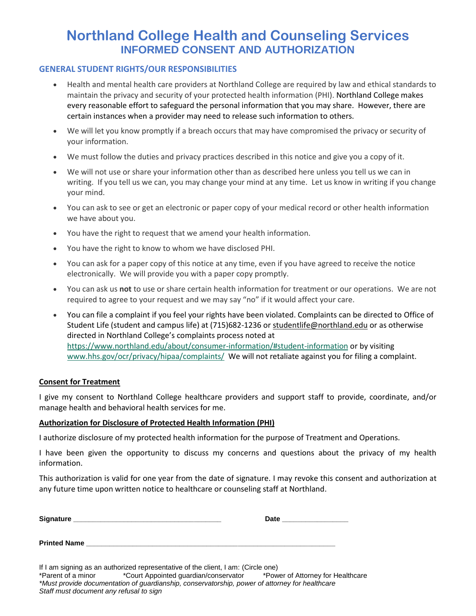# **Northland College Health and Counseling Services INFORMED CONSENT AND AUTHORIZATION**

## **GENERAL STUDENT RIGHTS/OUR RESPONSIBILITIES**

- Health and mental health care providers at Northland College are required by law and ethical standards to maintain the privacy and security of your protected health information (PHI). Northland College makes every reasonable effort to safeguard the personal information that you may share. However, there are certain instances when a provider may need to release such information to others.
- We will let you know promptly if a breach occurs that may have compromised the privacy or security of your information.
- We must follow the duties and privacy practices described in this notice and give you a copy of it.
- We will not use or share your information other than as described here unless you tell us we can in writing. If you tell us we can, you may change your mind at any time. Let us know in writing if you change your mind.
- You can ask to see or get an electronic or paper copy of your medical record or other health information we have about you.
- You have the right to request that we amend your health information.
- You have the right to know to whom we have disclosed PHI.
- You can ask for a paper copy of this notice at any time, even if you have agreed to receive the notice electronically. We will provide you with a paper copy promptly.
- You can ask us **not** to use or share certain health information for treatment or our operations. We are not required to agree to your request and we may say "no" if it would affect your care.
- You can file a complaint if you feel your rights have been violated. Complaints can be directed to Office of Student Life (student and campus life) at (715)682-1236 or [studentlife@northland.edu](mailto:studentlife@northland.edu) or as otherwise directed in Northland College's complaints process noted at <https://www.northland.edu/about/consumer-information/#student-information> or by visiting [www.hhs.gov/ocr/privacy/hipaa/complaints/](http://www.hhs.gov/ocr/privacy/hipaa/complaints/) We will not retaliate against you for filing a complaint.

#### **Consent for Treatment**

I give my consent to Northland College healthcare providers and support staff to provide, coordinate, and/or manage health and behavioral health services for me.

#### **Authorization for Disclosure of Protected Health Information (PHI)**

I authorize disclosure of my protected health information for the purpose of Treatment and Operations.

I have been given the opportunity to discuss my concerns and questions about the privacy of my health information.

This authorization is valid for one year from the date of signature. I may revoke this consent and authorization at any future time upon written notice to healthcare or counseling staff at Northland.

| <b>Signature</b> | <b>Date</b> |
|------------------|-------------|
|                  |             |
|                  |             |

If I am signing as an authorized representative of the client, I am: (Circle one) \*Parent of a minor \*Court Appointed guardian/conservator \*Power of Attorney for Healthcare *\*Must provide documentation of guardianship, conservatorship, power of attorney for healthcare*

*Staff must document any refusal to sign*

**Printed Name \_\_\_\_\_\_\_\_\_\_\_\_\_\_\_\_\_\_\_\_\_\_\_\_\_\_\_\_\_\_\_\_\_\_\_\_\_\_\_\_\_\_\_\_\_\_\_\_\_\_\_\_\_\_\_\_\_\_\_\_\_\_\_\_**